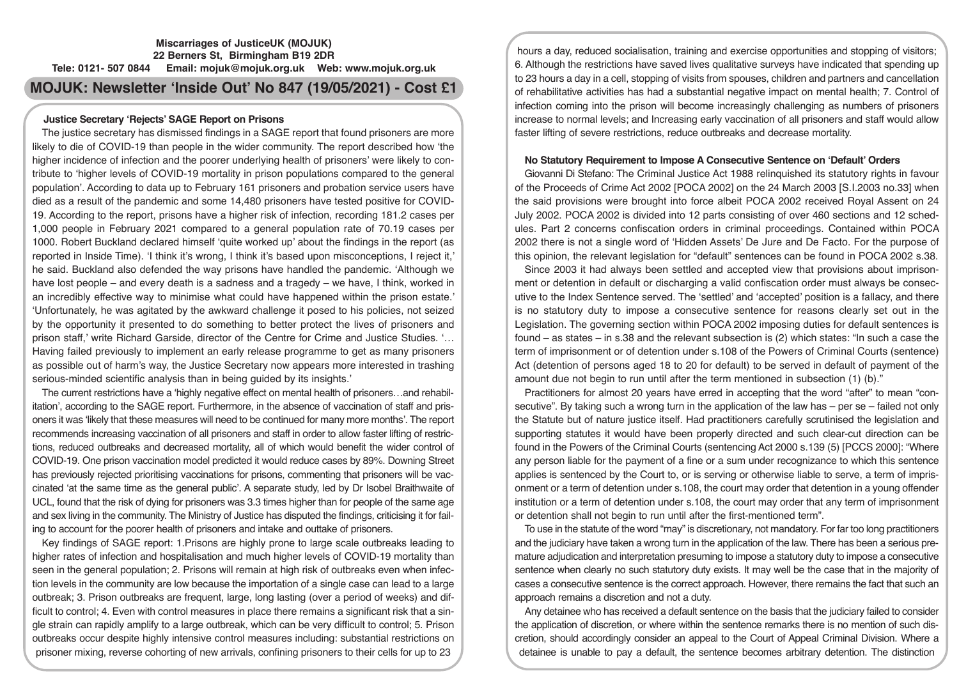# **Miscarriages of JusticeUK (MOJUK) 22 Berners St, Birmingham B19 2DR Tele: 0121- 507 0844 Email: mojuk@mojuk.org.uk Web: www.mojuk.org.uk**

# **MOJUK: Newsletter 'Inside Out' No 847 (19/05/2021) - Cost £1**

# **Justice Secretary 'Rejects' SAGE Report on Prisons**

The justice secretary has dismissed findings in a SAGE report that found prisoners are more likely to die of COVID-19 than people in the wider community. The report described how 'the higher incidence of infection and the poorer underlying health of prisoners' were likely to contribute to 'higher levels of COVID-19 mortality in prison populations compared to the general population'. According to data up to February 161 prisoners and probation service users have died as a result of the pandemic and some 14,480 prisoners have tested positive for COVID-19. According to the report, prisons have a higher risk of infection, recording 181.2 cases per 1,000 people in February 2021 compared to a general population rate of 70.19 cases per 1000. Robert Buckland declared himself 'quite worked up' about the findings in the report (as reported in Inside Time). 'I think it's wrong, I think it's based upon misconceptions, I reject it,' he said. Buckland also defended the way prisons have handled the pandemic. 'Although we have lost people – and every death is a sadness and a tragedy – we have, I think, worked in an incredibly effective way to minimise what could have happened within the prison estate.' 'Unfortunately, he was agitated by the awkward challenge it posed to his policies, not seized by the opportunity it presented to do something to better protect the lives of prisoners and prison staff,' write Richard Garside, director of the Centre for Crime and Justice Studies. '… Having failed previously to implement an early release programme to get as many prisoners as possible out of harm's way, the Justice Secretary now appears more interested in trashing serious-minded scientific analysis than in being guided by its insights.'

The current restrictions have a 'highly negative effect on mental health of prisoners…and rehabilitation', according to the SAGE report. Furthermore, in the absence of vaccination of staff and prisoners it was 'likely that these measures will need to be continued for many more months'. The report recommends increasing vaccination of all prisoners and staff in order to allow faster lifting of restrictions, reduced outbreaks and decreased mortality, all of which would benefit the wider control of COVID-19. One prison vaccination model predicted it would reduce cases by 89%. Downing Street has previously rejected prioritising vaccinations for prisons, commenting that prisoners will be vaccinated 'at the same time as the general public'. A separate study, led by Dr Isobel Braithwaite of UCL, found that the risk of dying for prisoners was 3.3 times higher than for people of the same age and sex living in the community. The Ministry of Justice has disputed the findings, criticising it for failing to account for the poorer health of prisoners and intake and outtake of prisoners.

Key findings of SAGE report: 1.Prisons are highly prone to large scale outbreaks leading to higher rates of infection and hospitalisation and much higher levels of COVID-19 mortality than seen in the general population; 2. Prisons will remain at high risk of outbreaks even when infection levels in the community are low because the importation of a single case can lead to a large outbreak; 3. Prison outbreaks are frequent, large, long lasting (over a period of weeks) and difficult to control; 4. Even with control measures in place there remains a significant risk that a single strain can rapidly amplify to a large outbreak, which can be very difficult to control; 5. Prison outbreaks occur despite highly intensive control measures including: substantial restrictions on prisoner mixing, reverse cohorting of new arrivals, confining prisoners to their cells for up to 23

hours a day, reduced socialisation, training and exercise opportunities and stopping of visitors; 6. Although the restrictions have saved lives qualitative surveys have indicated that spending up to 23 hours a day in a cell, stopping of visits from spouses, children and partners and cancellation of rehabilitative activities has had a substantial negative impact on mental health; 7. Control of infection coming into the prison will become increasingly challenging as numbers of prisoners increase to normal levels; and Increasing early vaccination of all prisoners and staff would allow faster lifting of severe restrictions, reduce outbreaks and decrease mortality.

# **No Statutory Requirement to Impose A Consecutive Sentence on 'Default' Orders**

Giovanni Di Stefano: The Criminal Justice Act 1988 relinquished its statutory rights in favour of the Proceeds of Crime Act 2002 [POCA 2002] on the 24 March 2003 [S.I.2003 no.33] when the said provisions were brought into force albeit POCA 2002 received Royal Assent on 24 July 2002. POCA 2002 is divided into 12 parts consisting of over 460 sections and 12 schedules. Part 2 concerns confiscation orders in criminal proceedings. Contained within POCA 2002 there is not a single word of 'Hidden Assets' De Jure and De Facto. For the purpose of this opinion, the relevant legislation for "default" sentences can be found in POCA 2002 s.38.

Since 2003 it had always been settled and accepted view that provisions about imprisonment or detention in default or discharging a valid confiscation order must always be consecutive to the Index Sentence served. The 'settled' and 'accepted' position is a fallacy, and there is no statutory duty to impose a consecutive sentence for reasons clearly set out in the Legislation. The governing section within POCA 2002 imposing duties for default sentences is found  $-$  as states  $-$  in s.38 and the relevant subsection is (2) which states: "In such a case the term of imprisonment or of detention under s.108 of the Powers of Criminal Courts (sentence) Act (detention of persons aged 18 to 20 for default) to be served in default of payment of the amount due not begin to run until after the term mentioned in subsection (1) (b)."

Practitioners for almost 20 years have erred in accepting that the word "after" to mean "consecutive". By taking such a wrong turn in the application of the law has – per se – failed not only the Statute but of nature justice itself. Had practitioners carefully scrutinised the legislation and supporting statutes it would have been properly directed and such clear-cut direction can be found in the Powers of the Criminal Courts (sentencing Act 2000 s.139 (5) [PCCS 2000]: "Where any person liable for the payment of a fine or a sum under recognizance to which this sentence applies is sentenced by the Court to, or is serving or otherwise liable to serve, a term of imprisonment or a term of detention under s.108, the court may order that detention in a young offender institution or a term of detention under s.108, the court may order that any term of imprisonment or detention shall not begin to run until after the first-mentioned term".

To use in the statute of the word "may" is discretionary, not mandatory. For far too long practitioners and the judiciary have taken a wrong turn in the application of the law. There has been a serious premature adjudication and interpretation presuming to impose a statutory duty to impose a consecutive sentence when clearly no such statutory duty exists. It may well be the case that in the majority of cases a consecutive sentence is the correct approach. However, there remains the fact that such an approach remains a discretion and not a duty.

Any detainee who has received a default sentence on the basis that the judiciary failed to consider the application of discretion, or where within the sentence remarks there is no mention of such discretion, should accordingly consider an appeal to the Court of Appeal Criminal Division. Where a detainee is unable to pay a default, the sentence becomes arbitrary detention. The distinction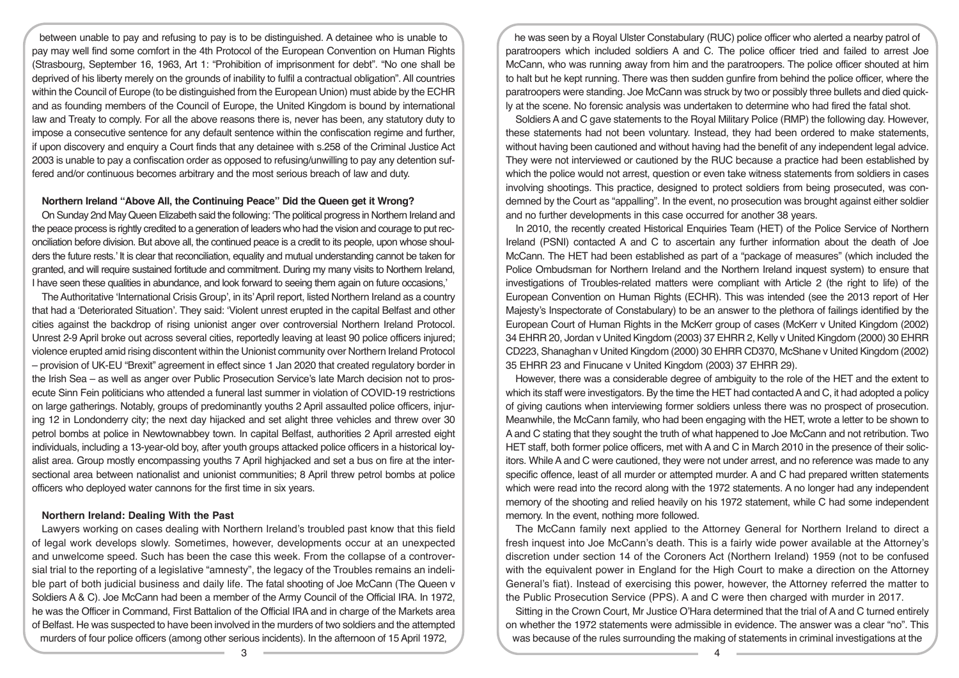between unable to pay and refusing to pay is to be distinguished. A detainee who is unable to pay may well find some comfort in the 4th Protocol of the European Convention on Human Rights (Strasbourg, September 16, 1963, Art 1: "Prohibition of imprisonment for debt". "No one shall be deprived of his liberty merely on the grounds of inability to fulfil a contractual obligation". All countries within the Council of Europe (to be distinguished from the European Union) must abide by the ECHR and as founding members of the Council of Europe, the United Kingdom is bound by international law and Treaty to comply. For all the above reasons there is, never has been, any statutory duty to impose a consecutive sentence for any default sentence within the confiscation regime and further, if upon discovery and enquiry a Court finds that any detainee with s.258 of the Criminal Justice Act 2003 is unable to pay a confiscation order as opposed to refusing/unwilling to pay any detention suffered and/or continuous becomes arbitrary and the most serious breach of law and duty.

# **Northern Ireland "Above All, the Continuing Peace" Did the Queen get it Wrong?**

On Sunday 2nd May Queen Elizabeth said the following: 'The political progress in Northern Ireland and the peace process is rightly credited to a generation of leaders who had the vision and courage to put reconciliation before division. But above all, the continued peace is a credit to its people, upon whose shoulders the future rests.' It is clear that reconciliation, equality and mutual understanding cannot be taken for granted, and will require sustained fortitude and commitment. During my many visits to Northern Ireland, I have seen these qualities in abundance, and look forward to seeing them again on future occasions,'

The Authoritative 'International Crisis Group', in its' April report, listed Northern Ireland as a country that had a 'Deteriorated Situation'. They said: 'Violent unrest erupted in the capital Belfast and other cities against the backdrop of rising unionist anger over controversial Northern Ireland Protocol. Unrest 2-9 April broke out across several cities, reportedly leaving at least 90 police officers injured; violence erupted amid rising discontent within the Unionist community over Northern Ireland Protocol – provision of UK-EU "Brexit" agreement in effect since 1 Jan 2020 that created regulatory border in the Irish Sea – as well as anger over Public Prosecution Service's late March decision not to prosecute Sinn Fein politicians who attended a funeral last summer in violation of COVID-19 restrictions on large gatherings. Notably, groups of predominantly youths 2 April assaulted police officers, injuring 12 in Londonderry city; the next day hijacked and set alight three vehicles and threw over 30 petrol bombs at police in Newtownabbey town. In capital Belfast, authorities 2 April arrested eight individuals, including a 13-year-old boy, after youth groups attacked police officers in a historical loyalist area. Group mostly encompassing youths 7 April highjacked and set a bus on fire at the intersectional area between nationalist and unionist communities; 8 April threw petrol bombs at police officers who deployed water cannons for the first time in six years.

#### **Northern Ireland: Dealing With the Past**

Lawyers working on cases dealing with Northern Ireland's troubled past know that this field of legal work develops slowly. Sometimes, however, developments occur at an unexpected and unwelcome speed. Such has been the case this week. From the collapse of a controversial trial to the reporting of a legislative "amnesty", the legacy of the Troubles remains an indelible part of both judicial business and daily life. The fatal shooting of Joe McCann (The Queen v Soldiers A & C). Joe McCann had been a member of the Army Council of the Official IRA. In 1972, he was the Officer in Command, First Battalion of the Official IRA and in charge of the Markets area of Belfast. He was suspected to have been involved in the murders of two soldiers and the attempted murders of four police officers (among other serious incidents). In the afternoon of 15 April 1972,

he was seen by a Royal Ulster Constabulary (RUC) police officer who alerted a nearby patrol of paratroopers which included soldiers A and C. The police officer tried and failed to arrest Joe McCann, who was running away from him and the paratroopers. The police officer shouted at him to halt but he kept running. There was then sudden gunfire from behind the police officer, where the paratroopers were standing. Joe McCann was struck by two or possibly three bullets and died quickly at the scene. No forensic analysis was undertaken to determine who had fired the fatal shot.

Soldiers A and C gave statements to the Royal Military Police (RMP) the following day. However, these statements had not been voluntary. Instead, they had been ordered to make statements, without having been cautioned and without having had the benefit of any independent legal advice. They were not interviewed or cautioned by the RUC because a practice had been established by which the police would not arrest, question or even take witness statements from soldiers in cases involving shootings. This practice, designed to protect soldiers from being prosecuted, was condemned by the Court as "appalling". In the event, no prosecution was brought against either soldier and no further developments in this case occurred for another 38 years.

In 2010, the recently created Historical Enquiries Team (HET) of the Police Service of Northern Ireland (PSNI) contacted A and C to ascertain any further information about the death of Joe McCann. The HET had been established as part of a "package of measures" (which included the Police Ombudsman for Northern Ireland and the Northern Ireland inquest system) to ensure that investigations of Troubles-related matters were compliant with Article 2 (the right to life) of the European Convention on Human Rights (ECHR). This was intended (see the 2013 report of Her Majesty's Inspectorate of Constabulary) to be an answer to the plethora of failings identified by the European Court of Human Rights in the McKerr group of cases (McKerr v United Kingdom (2002) 34 EHRR 20, Jordan v United Kingdom (2003) 37 EHRR 2, Kelly v United Kingdom (2000) 30 EHRR CD223, Shanaghan v United Kingdom (2000) 30 EHRR CD370, McShane v United Kingdom (2002) 35 EHRR 23 and Finucane v United Kingdom (2003) 37 EHRR 29).

However, there was a considerable degree of ambiguity to the role of the HET and the extent to which its staff were investigators. By the time the HET had contacted A and C, it had adopted a policy of giving cautions when interviewing former soldiers unless there was no prospect of prosecution. Meanwhile, the McCann family, who had been engaging with the HET, wrote a letter to be shown to A and C stating that they sought the truth of what happened to Joe McCann and not retribution. Two HET staff, both former police officers, met with A and C in March 2010 in the presence of their solicitors. While A and C were cautioned, they were not under arrest, and no reference was made to any specific offence, least of all murder or attempted murder. A and C had prepared written statements which were read into the record along with the 1972 statements. A no longer had any independent memory of the shooting and relied heavily on his 1972 statement, while C had some independent memory. In the event, nothing more followed.

The McCann family next applied to the Attorney General for Northern Ireland to direct a fresh inquest into Joe McCann's death. This is a fairly wide power available at the Attorney's discretion under section 14 of the Coroners Act (Northern Ireland) 1959 (not to be confused with the equivalent power in England for the High Court to make a direction on the Attorney General's fiat). Instead of exercising this power, however, the Attorney referred the matter to the Public Prosecution Service (PPS). A and C were then charged with murder in 2017.

Sitting in the Crown Court, Mr Justice O'Hara determined that the trial of A and C turned entirely on whether the 1972 statements were admissible in evidence. The answer was a clear "no". This was because of the rules surrounding the making of statements in criminal investigations at the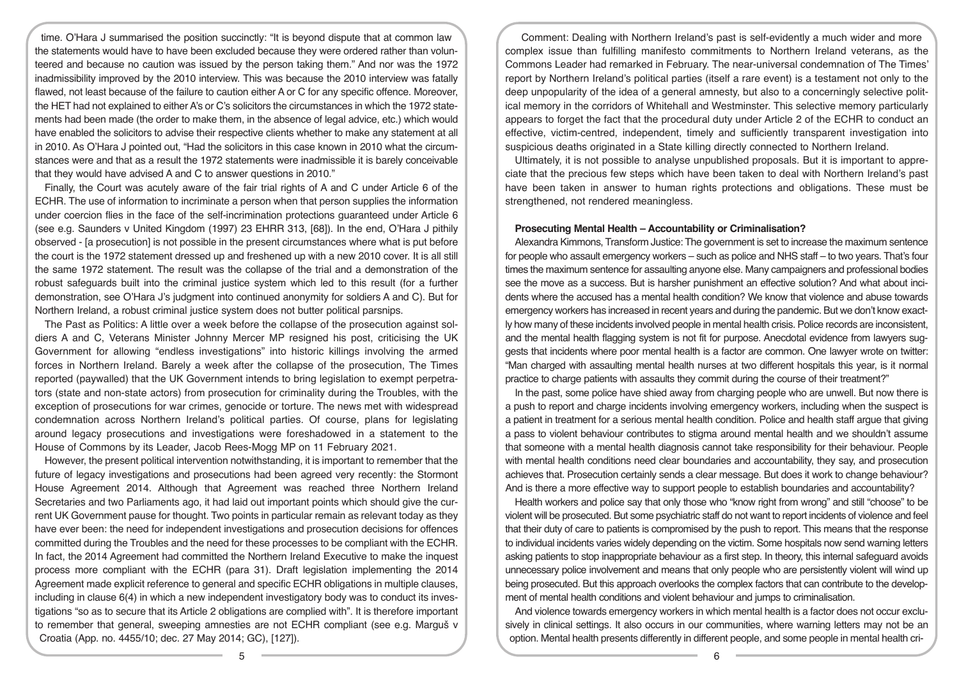time. O'Hara J summarised the position succinctly: "It is beyond dispute that at common law the statements would have to have been excluded because they were ordered rather than volunteered and because no caution was issued by the person taking them." And nor was the 1972 inadmissibility improved by the 2010 interview. This was because the 2010 interview was fatally flawed, not least because of the failure to caution either A or C for any specific offence. Moreover, the HET had not explained to either A's or C's solicitors the circumstances in which the 1972 statements had been made (the order to make them, in the absence of legal advice, etc.) which would have enabled the solicitors to advise their respective clients whether to make any statement at all in 2010. As O'Hara J pointed out, "Had the solicitors in this case known in 2010 what the circumstances were and that as a result the 1972 statements were inadmissible it is barely conceivable that they would have advised A and C to answer questions in 2010."

Finally, the Court was acutely aware of the fair trial rights of A and C under Article 6 of the ECHR. The use of information to incriminate a person when that person supplies the information under coercion flies in the face of the self-incrimination protections guaranteed under Article 6 (see e.g. Saunders v United Kingdom (1997) 23 EHRR 313, [68]). In the end, O'Hara J pithily observed - [a prosecution] is not possible in the present circumstances where what is put before the court is the 1972 statement dressed up and freshened up with a new 2010 cover. It is all still the same 1972 statement. The result was the collapse of the trial and a demonstration of the robust safeguards built into the criminal justice system which led to this result (for a further demonstration, see O'Hara J's judgment into continued anonymity for soldiers A and C). But for Northern Ireland, a robust criminal justice system does not butter political parsnips.

The Past as Politics: A little over a week before the collapse of the prosecution against soldiers A and C, Veterans Minister Johnny Mercer MP resigned his post, criticising the UK Government for allowing "endless investigations" into historic killings involving the armed forces in Northern Ireland. Barely a week after the collapse of the prosecution, The Times reported (paywalled) that the UK Government intends to bring legislation to exempt perpetrators (state and non-state actors) from prosecution for criminality during the Troubles, with the exception of prosecutions for war crimes, genocide or torture. The news met with widespread condemnation across Northern Ireland's political parties. Of course, plans for legislating around legacy prosecutions and investigations were foreshadowed in a statement to the House of Commons by its Leader, Jacob Rees-Mogg MP on 11 February 2021.

However, the present political intervention notwithstanding, it is important to remember that the future of legacy investigations and prosecutions had been agreed very recently: the Stormont House Agreement 2014. Although that Agreement was reached three Northern Ireland Secretaries and two Parliaments ago, it had laid out important points which should give the current UK Government pause for thought. Two points in particular remain as relevant today as they have ever been: the need for independent investigations and prosecution decisions for offences committed during the Troubles and the need for these processes to be compliant with the ECHR. In fact, the 2014 Agreement had committed the Northern Ireland Executive to make the inquest process more compliant with the ECHR (para 31). Draft legislation implementing the 2014 Agreement made explicit reference to general and specific ECHR obligations in multiple clauses, including in clause 6(4) in which a new independent investigatory body was to conduct its investigations "so as to secure that its Article 2 obligations are complied with". It is therefore important to remember that general, sweeping amnesties are not ECHR compliant (see e.g. Marguš v Croatia (App. no. 4455/10; dec. 27 May 2014; GC), [127]).

Comment: Dealing with Northern Ireland's past is self-evidently a much wider and more complex issue than fulfilling manifesto commitments to Northern Ireland veterans, as the Commons Leader had remarked in February. The near-universal condemnation of The Times' report by Northern Ireland's political parties (itself a rare event) is a testament not only to the deep unpopularity of the idea of a general amnesty, but also to a concerningly selective political memory in the corridors of Whitehall and Westminster. This selective memory particularly appears to forget the fact that the procedural duty under Article 2 of the ECHR to conduct an effective, victim-centred, independent, timely and sufficiently transparent investigation into suspicious deaths originated in a State killing directly connected to Northern Ireland.

Ultimately, it is not possible to analyse unpublished proposals. But it is important to appreciate that the precious few steps which have been taken to deal with Northern Ireland's past have been taken in answer to human rights protections and obligations. These must be strengthened, not rendered meaningless.

#### **Prosecuting Mental Health – Accountability or Criminalisation?**

Alexandra Kimmons, Transform Justice: The government is set to increase the maximum sentence for people who assault emergency workers – such as police and NHS staff – to two years. That's four times the maximum sentence for assaulting anyone else. Many campaigners and professional bodies see the move as a success. But is harsher punishment an effective solution? And what about incidents where the accused has a mental health condition? We know that violence and abuse towards emergency workers has increased in recent years and during the pandemic. But we don't know exactly how many of these incidents involved people in mental health crisis. Police records are inconsistent, and the mental health flagging system is not fit for purpose. Anecdotal evidence from lawyers suggests that incidents where poor mental health is a factor are common. One lawyer wrote on twitter: "Man charged with assaulting mental health nurses at two different hospitals this year, is it normal practice to charge patients with assaults they commit during the course of their treatment?"

In the past, some police have shied away from charging people who are unwell. But now there is a push to report and charge incidents involving emergency workers, including when the suspect is a patient in treatment for a serious mental health condition. Police and health staff argue that giving a pass to violent behaviour contributes to stigma around mental health and we shouldn't assume that someone with a mental health diagnosis cannot take responsibility for their behaviour. People with mental health conditions need clear boundaries and accountability, they say, and prosecution achieves that. Prosecution certainly sends a clear message. But does it work to change behaviour? And is there a more effective way to support people to establish boundaries and accountability?

Health workers and police say that only those who "know right from wrong" and still "choose" to be violent will be prosecuted. But some psychiatric staff do not want to report incidents of violence and feel that their duty of care to patients is compromised by the push to report. This means that the response to individual incidents varies widely depending on the victim. Some hospitals now send warning letters asking patients to stop inappropriate behaviour as a first step. In theory, this internal safeguard avoids unnecessary police involvement and means that only people who are persistently violent will wind up being prosecuted. But this approach overlooks the complex factors that can contribute to the development of mental health conditions and violent behaviour and jumps to criminalisation.

And violence towards emergency workers in which mental health is a factor does not occur exclusively in clinical settings. It also occurs in our communities, where warning letters may not be an option. Mental health presents differently in different people, and some people in mental health cri-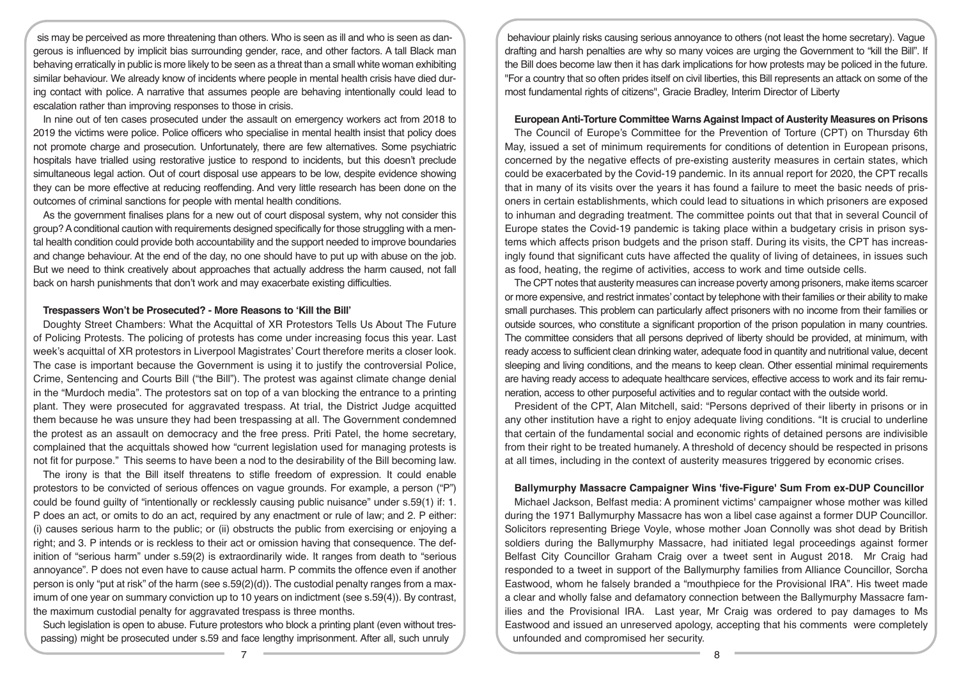sis may be perceived as more threatening than others. Who is seen as ill and who is seen as dangerous is influenced by implicit bias surrounding gender, race, and other factors. A tall Black man behaving erratically in public is more likely to be seen as a threat than a small white woman exhibiting similar behaviour. We already know of incidents where people in mental health crisis have died during contact with police. A narrative that assumes people are behaving intentionally could lead to escalation rather than improving responses to those in crisis.

In nine out of ten cases prosecuted under the assault on emergency workers act from 2018 to 2019 the victims were police. Police officers who specialise in mental health insist that policy does not promote charge and prosecution. Unfortunately, there are few alternatives. Some psychiatric hospitals have trialled using restorative justice to respond to incidents, but this doesn't preclude simultaneous legal action. Out of court disposal use appears to be low, despite evidence showing they can be more effective at reducing reoffending. And very little research has been done on the outcomes of criminal sanctions for people with mental health conditions.

As the government finalises plans for a new out of court disposal system, why not consider this group? A conditional caution with requirements designed specifically for those struggling with a mental health condition could provide both accountability and the support needed to improve boundaries and change behaviour. At the end of the day, no one should have to put up with abuse on the job. But we need to think creatively about approaches that actually address the harm caused, not fall back on harsh punishments that don't work and may exacerbate existing difficulties.

## **Trespassers Won't be Prosecuted? - More Reasons to 'Kill the Bill'**

Doughty Street Chambers: What the Acquittal of XR Protestors Tells Us About The Future of Policing Protests. The policing of protests has come under increasing focus this year. Last week's acquittal of XR protestors in Liverpool Magistrates' Court therefore merits a closer look. The case is important because the Government is using it to justify the controversial Police, Crime, Sentencing and Courts Bill ("the Bill"). The protest was against climate change denial in the "Murdoch media". The protestors sat on top of a van blocking the entrance to a printing plant. They were prosecuted for aggravated trespass. At trial, the District Judge acquitted them because he was unsure they had been trespassing at all. The Government condemned the protest as an assault on democracy and the free press. Priti Patel, the home secretary, complained that the acquittals showed how "current legislation used for managing protests is not fit for purpose." This seems to have been a nod to the desirability of the Bill becoming law.

The irony is that the Bill itself threatens to stifle freedom of expression. It could enable protestors to be convicted of serious offences on vague grounds. For example, a person ("P") could be found guilty of "intentionally or recklessly causing public nuisance" under s.59(1) if: 1. P does an act, or omits to do an act, required by any enactment or rule of law; and 2. P either: (i) causes serious harm to the public; or (ii) obstructs the public from exercising or enjoying a right; and 3. P intends or is reckless to their act or omission having that consequence. The definition of "serious harm" under s.59(2) is extraordinarily wide. It ranges from death to "serious annoyance". P does not even have to cause actual harm. P commits the offence even if another person is only "put at risk" of the harm (see  $s.59(2)(d)$ ). The custodial penalty ranges from a maximum of one year on summary conviction up to 10 years on indictment (see s.59(4)). By contrast, the maximum custodial penalty for aggravated trespass is three months.

Such legislation is open to abuse. Future protestors who block a printing plant (even without trespassing) might be prosecuted under s.59 and face lengthy imprisonment. After all, such unruly

behaviour plainly risks causing serious annoyance to others (not least the home secretary). Vague drafting and harsh penalties are why so many voices are urging the Government to "kill the Bill". If the Bill does become law then it has dark implications for how protests may be policed in the future. "For a country that so often prides itself on civil liberties, this Bill represents an attack on some of the most fundamental rights of citizens", Gracie Bradley, Interim Director of Liberty

## **European Anti-Torture Committee Warns Against Impact of Austerity Measures on Prisons**

The Council of Europe's Committee for the Prevention of Torture (CPT) on Thursday 6th May, issued a set of minimum requirements for conditions of detention in European prisons, concerned by the negative effects of pre-existing austerity measures in certain states, which could be exacerbated by the Covid-19 pandemic. In its annual report for 2020, the CPT recalls that in many of its visits over the years it has found a failure to meet the basic needs of prisoners in certain establishments, which could lead to situations in which prisoners are exposed to inhuman and degrading treatment. The committee points out that that in several Council of Europe states the Covid-19 pandemic is taking place within a budgetary crisis in prison systems which affects prison budgets and the prison staff. During its visits, the CPT has increasingly found that significant cuts have affected the quality of living of detainees, in issues such as food, heating, the regime of activities, access to work and time outside cells.

The CPT notes that austerity measures can increase poverty among prisoners, make items scarcer or more expensive, and restrict inmates' contact by telephone with their families or their ability to make small purchases. This problem can particularly affect prisoners with no income from their families or outside sources, who constitute a significant proportion of the prison population in many countries. The committee considers that all persons deprived of liberty should be provided, at minimum, with ready access to sufficient clean drinking water, adequate food in quantity and nutritional value, decent sleeping and living conditions, and the means to keep clean. Other essential minimal requirements are having ready access to adequate healthcare services, effective access to work and its fair remuneration, access to other purposeful activities and to regular contact with the outside world.

President of the CPT, Alan Mitchell, said: "Persons deprived of their liberty in prisons or in any other institution have a right to enjoy adequate living conditions. "It is crucial to underline that certain of the fundamental social and economic rights of detained persons are indivisible from their right to be treated humanely. A threshold of decency should be respected in prisons at all times, including in the context of austerity measures triggered by economic crises.

#### **Ballymurphy Massacre Campaigner Wins 'five-Figure' Sum From ex-DUP Councillor**

Michael Jackson, Belfast media: A prominent victims' campaigner whose mother was killed during the 1971 Ballymurphy Massacre has won a libel case against a former DUP Councillor. Solicitors representing Briege Voyle, whose mother Joan Connolly was shot dead by British soldiers during the Ballymurphy Massacre, had initiated legal proceedings against former Belfast City Councillor Graham Craig over a tweet sent in August 2018. Mr Craig had responded to a tweet in support of the Ballymurphy families from Alliance Councillor, Sorcha Eastwood, whom he falsely branded a "mouthpiece for the Provisional IRA". His tweet made a clear and wholly false and defamatory connection between the Ballymurphy Massacre families and the Provisional IRA. Last year, Mr Craig was ordered to pay damages to Ms Eastwood and issued an unreserved apology, accepting that his comments were completely unfounded and compromised her security.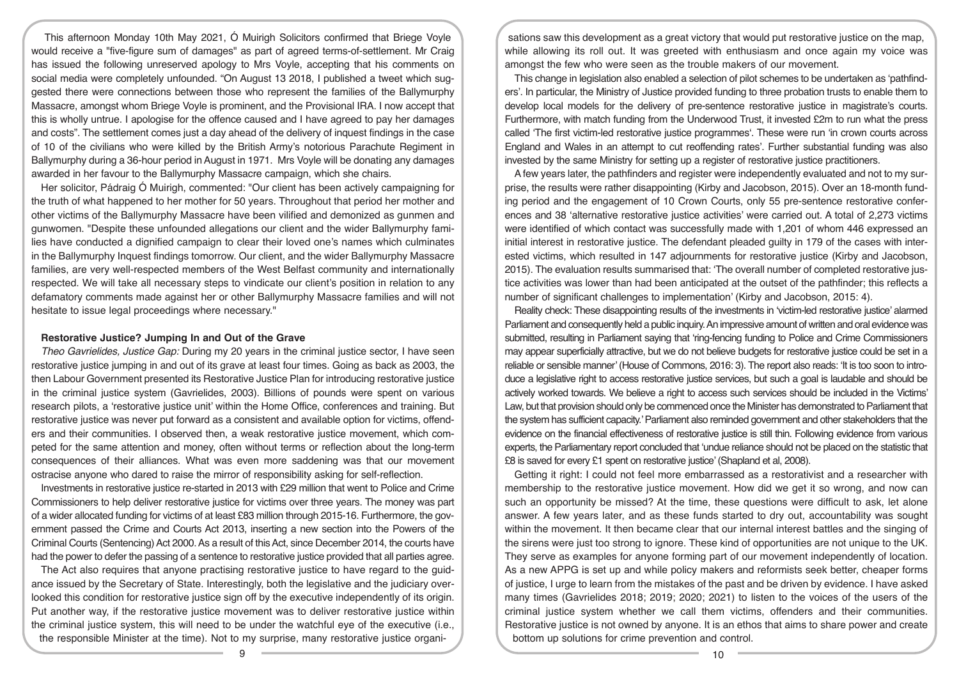This afternoon Monday 10th May 2021, Ó Muirigh Solicitors confirmed that Briege Voyle would receive a "five-figure sum of damages" as part of agreed terms-of-settlement. Mr Craig has issued the following unreserved apology to Mrs Voyle, accepting that his comments on social media were completely unfounded. "On August 13 2018, I published a tweet which suggested there were connections between those who represent the families of the Ballymurphy Massacre, amongst whom Briege Voyle is prominent, and the Provisional IRA. I now accept that this is wholly untrue. I apologise for the offence caused and I have agreed to pay her damages and costs". The settlement comes just a day ahead of the delivery of inquest findings in the case of 10 of the civilians who were killed by the British Army's notorious Parachute Regiment in Ballymurphy during a 36-hour period in August in 1971. Mrs Voyle will be donating any damages awarded in her favour to the Ballymurphy Massacre campaign, which she chairs.

Her solicitor, Pádraig Ó Muirigh, commented: "Our client has been actively campaigning for the truth of what happened to her mother for 50 years. Throughout that period her mother and other victims of the Ballymurphy Massacre have been vilified and demonized as gunmen and gunwomen. "Despite these unfounded allegations our client and the wider Ballymurphy families have conducted a dignified campaign to clear their loved one's names which culminates in the Ballymurphy Inquest findings tomorrow. Our client, and the wider Ballymurphy Massacre families, are very well-respected members of the West Belfast community and internationally respected. We will take all necessary steps to vindicate our client's position in relation to any defamatory comments made against her or other Ballymurphy Massacre families and will not hesitate to issue legal proceedings where necessary."

#### **Restorative Justice? Jumping In and Out of the Grave**

*Theo Gavrielides, Justice Gap:* During my 20 years in the criminal justice sector, I have seen restorative justice jumping in and out of its grave at least four times. Going as back as 2003, the then Labour Government presented its Restorative Justice Plan for introducing restorative justice in the criminal justice system (Gavrielides, 2003). Billions of pounds were spent on various research pilots, a 'restorative justice unit' within the Home Office, conferences and training. But restorative justice was never put forward as a consistent and available option for victims, offenders and their communities. I observed then, a weak restorative justice movement, which competed for the same attention and money, often without terms or reflection about the long-term consequences of their alliances. What was even more saddening was that our movement ostracise anyone who dared to raise the mirror of responsibility asking for self-reflection.

Investments in restorative justice re-started in 2013 with £29 million that went to Police and Crime Commissioners to help deliver restorative justice for victims over three years. The money was part of a wider allocated funding for victims of at least £83 million through 2015-16. Furthermore, the government passed the Crime and Courts Act 2013, inserting a new section into the Powers of the Criminal Courts (Sentencing) Act 2000. As a result of this Act, since December 2014, the courts have had the power to defer the passing of a sentence to restorative justice provided that all parties agree.

The Act also requires that anyone practising restorative justice to have regard to the guidance issued by the Secretary of State. Interestingly, both the legislative and the judiciary overlooked this condition for restorative justice sign off by the executive independently of its origin. Put another way, if the restorative justice movement was to deliver restorative justice within the criminal justice system, this will need to be under the watchful eye of the executive (*i.e.*, the responsible Minister at the time). Not to my surprise, many restorative justice organi-

sations saw this development as a great victory that would put restorative justice on the map, while allowing its roll out. It was greeted with enthusiasm and once again my voice was amongst the few who were seen as the trouble makers of our movement.

This change in legislation also enabled a selection of pilot schemes to be undertaken as 'pathfinders'. In particular, the Ministry of Justice provided funding to three probation trusts to enable them to develop local models for the delivery of pre-sentence restorative justice in magistrate's courts. Furthermore, with match funding from the Underwood Trust, it invested £2m to run what the press called 'The first victim-led restorative justice programmes'. These were run 'in crown courts across England and Wales in an attempt to cut reoffending rates'. Further substantial funding was also invested by the same Ministry for setting up a register of restorative justice practitioners.

A few years later, the pathfinders and register were independently evaluated and not to my surprise, the results were rather disappointing (Kirby and Jacobson, 2015). Over an 18-month funding period and the engagement of 10 Crown Courts, only 55 pre-sentence restorative conferences and 38 'alternative restorative justice activities' were carried out. A total of 2,273 victims were identified of which contact was successfully made with 1,201 of whom 446 expressed an initial interest in restorative justice. The defendant pleaded guilty in 179 of the cases with interested victims, which resulted in 147 adjournments for restorative justice (Kirby and Jacobson, 2015). The evaluation results summarised that: 'The overall number of completed restorative justice activities was lower than had been anticipated at the outset of the pathfinder; this reflects a number of significant challenges to implementation' (Kirby and Jacobson, 2015: 4).

Reality check: These disappointing results of the investments in 'victim-led restorative justice' alarmed Parliament and consequently held a public inquiry. An impressive amount of written and oral evidence was submitted, resulting in Parliament saying that 'ring-fencing funding to Police and Crime Commissioners may appear superficially attractive, but we do not believe budgets for restorative justice could be set in a reliable or sensible manner' (House of Commons, 2016: 3). The report also reads: 'It is too soon to introduce a legislative right to access restorative justice services, but such a goal is laudable and should be actively worked towards. We believe a right to access such services should be included in the Victims' Law, but that provision should only be commenced once the Minister has demonstrated to Parliament that the system has sufficient capacity.' Parliament also reminded government and other stakeholders that the evidence on the financial effectiveness of restorative justice is still thin. Following evidence from various experts, the Parliamentary report concluded that 'undue reliance should not be placed on the statistic that £8 is saved for every £1 spent on restorative justice' (Shapland et al, 2008).

Getting it right: I could not feel more embarrassed as a restorativist and a researcher with membership to the restorative justice movement. How did we get it so wrong, and now can such an opportunity be missed? At the time, these questions were difficult to ask, let alone answer. A few years later, and as these funds started to dry out, accountability was sought within the movement. It then became clear that our internal interest battles and the singing of the sirens were just too strong to ignore. These kind of opportunities are not unique to the UK. They serve as examples for anyone forming part of our movement independently of location. As a new APPG is set up and while policy makers and reformists seek better, cheaper forms of justice, I urge to learn from the mistakes of the past and be driven by evidence. I have asked many times (Gavrielides 2018; 2019; 2020; 2021) to listen to the voices of the users of the criminal justice system whether we call them victims, offenders and their communities. Restorative justice is not owned by anyone. It is an ethos that aims to share power and create bottom up solutions for crime prevention and control.